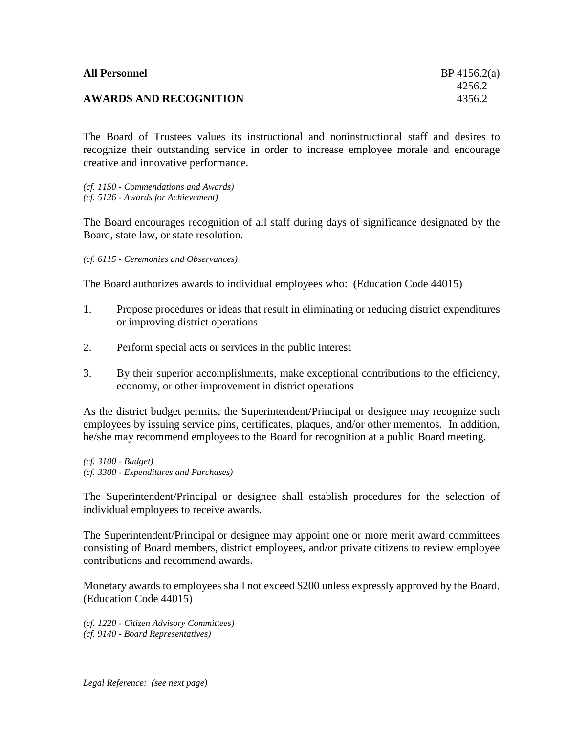| <b>All Personnel</b>          | $BP$ 4156.2(a) |
|-------------------------------|----------------|
|                               | 4256.2         |
| <b>AWARDS AND RECOGNITION</b> | 4356.2         |

The Board of Trustees values its instructional and noninstructional staff and desires to recognize their outstanding service in order to increase employee morale and encourage creative and innovative performance.

*(cf. 1150 - Commendations and Awards) (cf. 5126 - Awards for Achievement)*

The Board encourages recognition of all staff during days of significance designated by the Board, state law, or state resolution.

*(cf. 6115 - Ceremonies and Observances)*

The Board authorizes awards to individual employees who: (Education Code 44015)

- 1. Propose procedures or ideas that result in eliminating or reducing district expenditures or improving district operations
- 2. Perform special acts or services in the public interest
- 3. By their superior accomplishments, make exceptional contributions to the efficiency, economy, or other improvement in district operations

As the district budget permits, the Superintendent/Principal or designee may recognize such employees by issuing service pins, certificates, plaques, and/or other mementos. In addition, he/she may recommend employees to the Board for recognition at a public Board meeting.

*(cf. 3100 - Budget) (cf. 3300 - Expenditures and Purchases)*

The Superintendent/Principal or designee shall establish procedures for the selection of individual employees to receive awards.

The Superintendent/Principal or designee may appoint one or more merit award committees consisting of Board members, district employees, and/or private citizens to review employee contributions and recommend awards.

Monetary awards to employees shall not exceed \$200 unless expressly approved by the Board. (Education Code 44015)

*(cf. 1220 - Citizen Advisory Committees) (cf. 9140 - Board Representatives)*